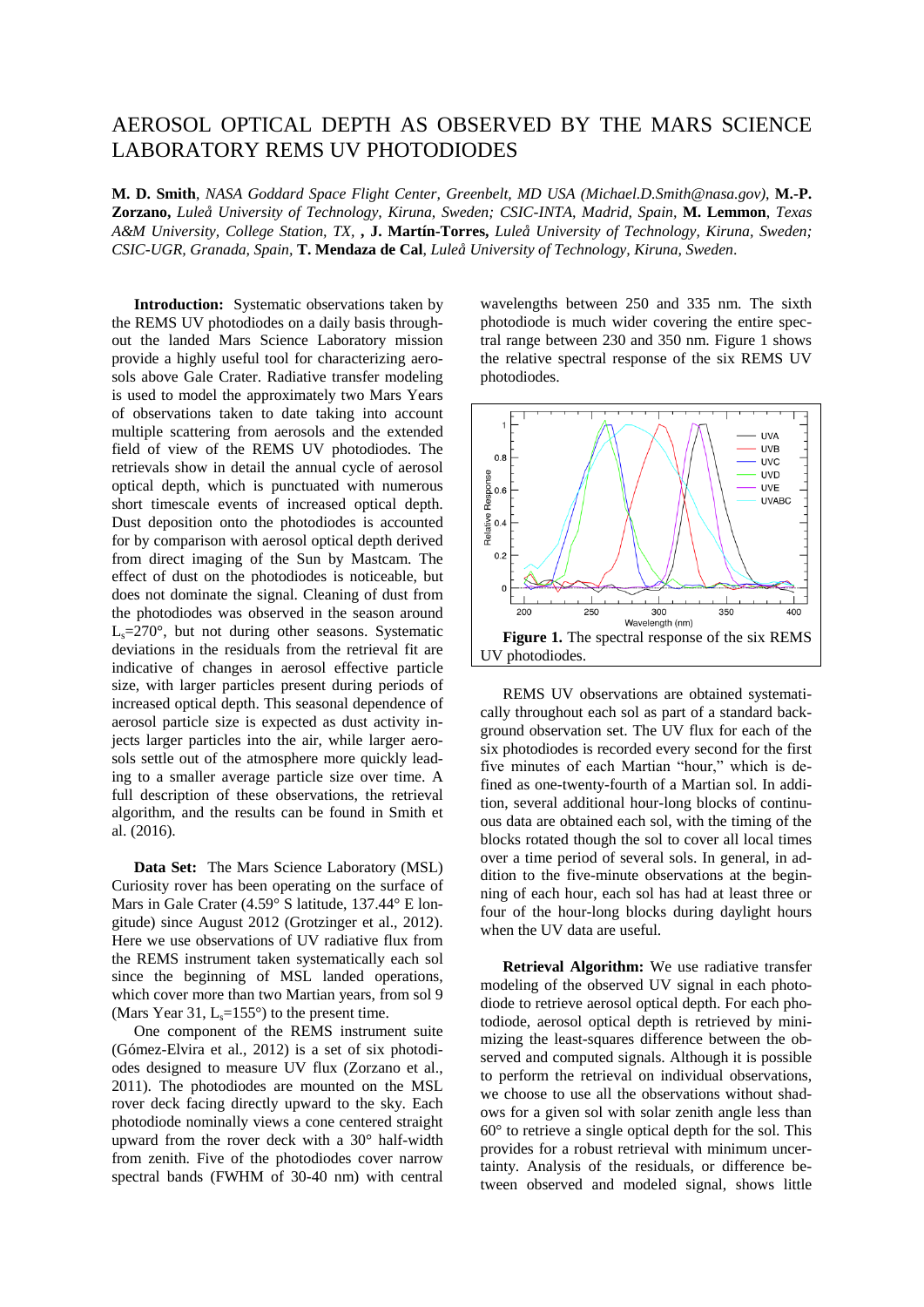## AEROSOL OPTICAL DEPTH AS OBSERVED BY THE MARS SCIENCE LABORATORY REMS UV PHOTODIODES

**M. D. Smith**, *NASA Goddard Space Flight Center, Greenbelt, MD USA (Michael.D.Smith@nasa.gov)*, **M.-P. Zorzano,** *Luleå University of Technology, Kiruna, Sweden; CSIC-INTA, Madrid, Spain,* **M. Lemmon**, *Texas A&M University, College Station, TX,* **, J. Martín-Torres,** *Luleå University of Technology, Kiruna, Sweden; CSIC-UGR, Granada, Spain,* **T. Mendaza de Cal**, *Luleå University of Technology, Kiruna, Sweden*.

**Introduction:** Systematic observations taken by the REMS UV photodiodes on a daily basis throughout the landed Mars Science Laboratory mission provide a highly useful tool for characterizing aerosols above Gale Crater. Radiative transfer modeling is used to model the approximately two Mars Years of observations taken to date taking into account multiple scattering from aerosols and the extended field of view of the REMS UV photodiodes. The retrievals show in detail the annual cycle of aerosol optical depth, which is punctuated with numerous short timescale events of increased optical depth. Dust deposition onto the photodiodes is accounted for by comparison with aerosol optical depth derived from direct imaging of the Sun by Mastcam. The effect of dust on the photodiodes is noticeable, but does not dominate the signal. Cleaning of dust from the photodiodes was observed in the season around  $L<sub>s</sub>=270$ °, but not during other seasons. Systematic deviations in the residuals from the retrieval fit are indicative of changes in aerosol effective particle size, with larger particles present during periods of increased optical depth. This seasonal dependence of aerosol particle size is expected as dust activity injects larger particles into the air, while larger aerosols settle out of the atmosphere more quickly leading to a smaller average particle size over time. A full description of these observations, the retrieval algorithm, and the results can be found in Smith et al. (2016).

**Data Set:** The Mars Science Laboratory (MSL) Curiosity rover has been operating on the surface of Mars in Gale Crater (4.59° S latitude, 137.44° E longitude) since August 2012 (Grotzinger et al., 2012). Here we use observations of UV radiative flux from the REMS instrument taken systematically each sol since the beginning of MSL landed operations, which cover more than two Martian years, from sol 9 (Mars Year 31,  $L_s = 155^\circ$ ) to the present time.

One component of the REMS instrument suite (Gómez-Elvira et al., 2012) is a set of six photodiodes designed to measure UV flux (Zorzano et al., 2011). The photodiodes are mounted on the MSL rover deck facing directly upward to the sky. Each photodiode nominally views a cone centered straight upward from the rover deck with a 30° half-width from zenith. Five of the photodiodes cover narrow spectral bands (FWHM of 30-40 nm) with central

wavelengths between 250 and 335 nm. The sixth photodiode is much wider covering the entire spectral range between 230 and 350 nm. Figure 1 shows the relative spectral response of the six REMS UV photodiodes.



REMS UV observations are obtained systematically throughout each sol as part of a standard background observation set. The UV flux for each of the six photodiodes is recorded every second for the first five minutes of each Martian "hour," which is defined as one-twenty-fourth of a Martian sol. In addition, several additional hour-long blocks of continuous data are obtained each sol, with the timing of the blocks rotated though the sol to cover all local times over a time period of several sols. In general, in addition to the five-minute observations at the beginning of each hour, each sol has had at least three or four of the hour-long blocks during daylight hours when the UV data are useful.

**Retrieval Algorithm:** We use radiative transfer modeling of the observed UV signal in each photodiode to retrieve aerosol optical depth. For each photodiode, aerosol optical depth is retrieved by minimizing the least-squares difference between the observed and computed signals. Although it is possible to perform the retrieval on individual observations, we choose to use all the observations without shadows for a given sol with solar zenith angle less than  $60^\circ$  to retrieve a single optical depth for the sol. This provides for a robust retrieval with minimum uncertainty. Analysis of the residuals, or difference between observed and modeled signal, shows little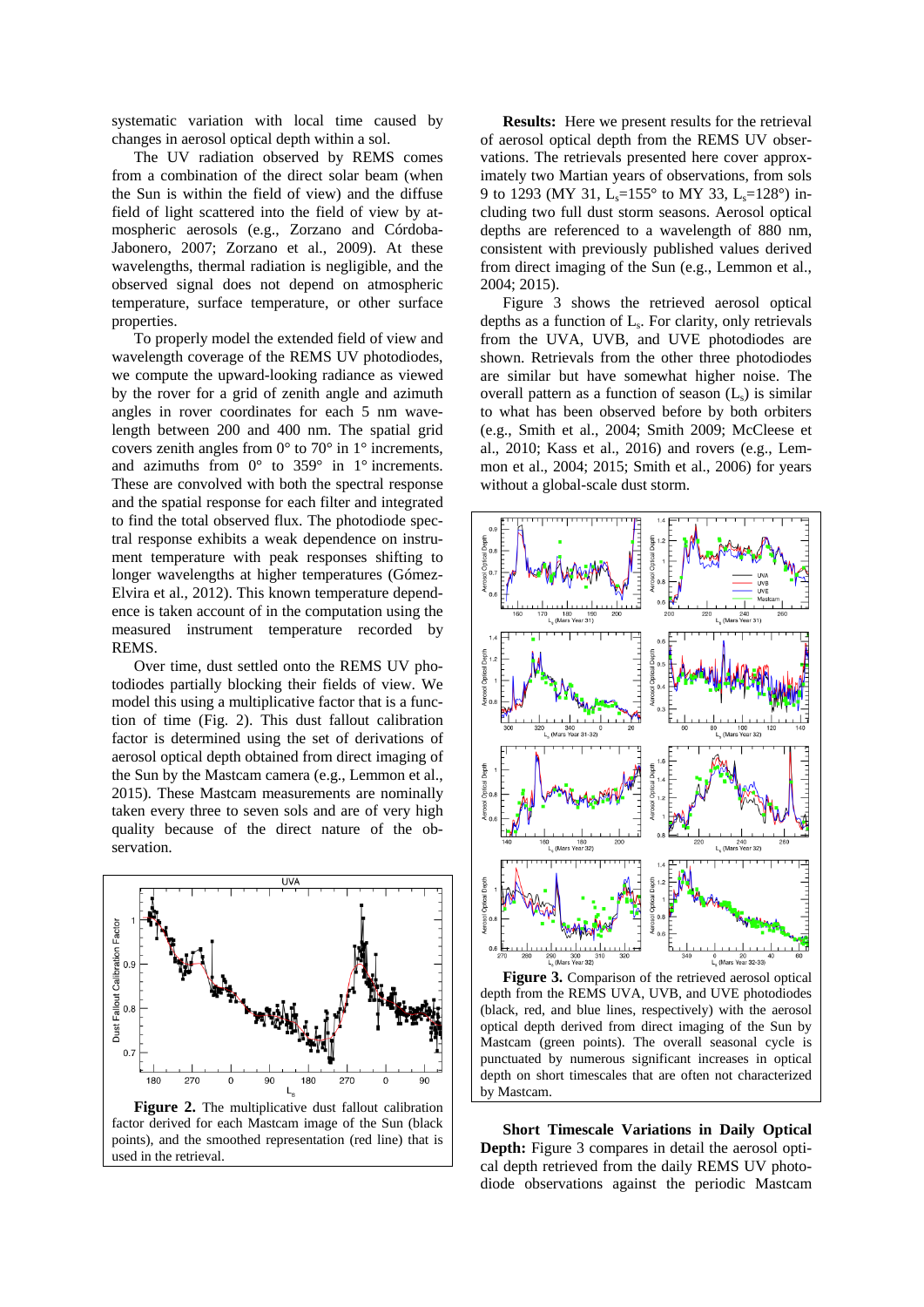systematic variation with local time caused by changes in aerosol optical depth within a sol.

The UV radiation observed by REMS comes from a combination of the direct solar beam (when the Sun is within the field of view) and the diffuse field of light scattered into the field of view by atmospheric aerosols (e.g., Zorzano and Córdoba-Jabonero, 2007; Zorzano et al., 2009). At these wavelengths, thermal radiation is negligible, and the observed signal does not depend on atmospheric temperature, surface temperature, or other surface properties.

To properly model the extended field of view and wavelength coverage of the REMS UV photodiodes, we compute the upward-looking radiance as viewed by the rover for a grid of zenith angle and azimuth angles in rover coordinates for each 5 nm wavelength between 200 and 400 nm. The spatial grid covers zenith angles from  $0^{\circ}$  to  $70^{\circ}$  in  $1^{\circ}$  increments, and azimuths from  $0^{\circ}$  to 359° in 1° increments. These are convolved with both the spectral response and the spatial response for each filter and integrated to find the total observed flux. The photodiode spectral response exhibits a weak dependence on instrument temperature with peak responses shifting to longer wavelengths at higher temperatures (Gómez-Elvira et al., 2012). This known temperature dependence is taken account of in the computation using the measured instrument temperature recorded by REMS.

Over time, dust settled onto the REMS UV photodiodes partially blocking their fields of view. We model this using a multiplicative factor that is a function of time (Fig. 2). This dust fallout calibration factor is determined using the set of derivations of aerosol optical depth obtained from direct imaging of the Sun by the Mastcam camera (e.g., Lemmon et al., 2015). These Mastcam measurements are nominally taken every three to seven sols and are of very high quality because of the direct nature of the observation.



**Figure 2.** The multiplicative dust fallout calibration factor derived for each Mastcam image of the Sun (black points), and the smoothed representation (red line) that is used in the retrieval.

**Results:** Here we present results for the retrieval of aerosol optical depth from the REMS UV observations. The retrievals presented here cover approximately two Martian years of observations, from sols 9 to 1293 (MY 31, L<sub>s</sub>=155° to MY 33, L<sub>s</sub>=128°) including two full dust storm seasons. Aerosol optical depths are referenced to a wavelength of 880 nm, consistent with previously published values derived from direct imaging of the Sun (e.g., Lemmon et al., 2004; 2015).

Figure 3 shows the retrieved aerosol optical depths as a function of L<sup>s</sup> . For clarity, only retrievals from the UVA, UVB, and UVE photodiodes are shown. Retrievals from the other three photodiodes are similar but have somewhat higher noise. The overall pattern as a function of season  $(L<sub>s</sub>)$  is similar to what has been observed before by both orbiters (e.g., Smith et al., 2004; Smith 2009; McCleese et al., 2010; Kass et al., 2016) and rovers (e.g., Lemmon et al., 2004; 2015; Smith et al., 2006) for years without a global-scale dust storm.



**Figure 3.** Comparison of the retrieved aerosol optical depth from the REMS UVA, UVB, and UVE photodiodes (black, red, and blue lines, respectively) with the aerosol optical depth derived from direct imaging of the Sun by Mastcam (green points). The overall seasonal cycle is punctuated by numerous significant increases in optical depth on short timescales that are often not characterized by Mastcam.

**Short Timescale Variations in Daily Optical Depth:** Figure 3 compares in detail the aerosol optical depth retrieved from the daily REMS UV photodiode observations against the periodic Mastcam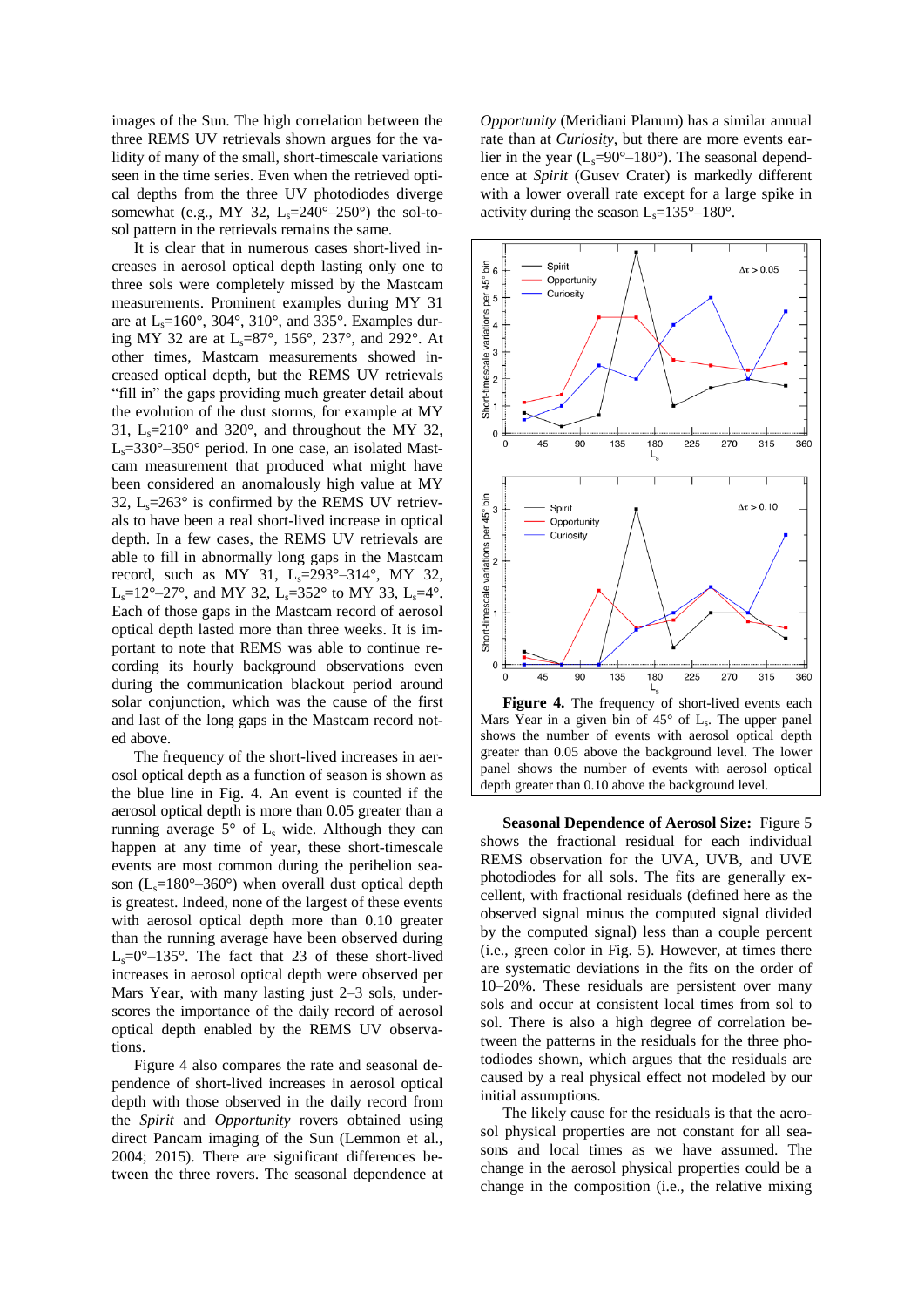images of the Sun. The high correlation between the three REMS UV retrievals shown argues for the validity of many of the small, short-timescale variations seen in the time series. Even when the retrieved optical depths from the three UV photodiodes diverge somewhat (e.g., MY 32,  $L_s = 240^\circ - 250^\circ$ ) the sol-tosol pattern in the retrievals remains the same.

It is clear that in numerous cases short-lived increases in aerosol optical depth lasting only one to three sols were completely missed by the Mastcam measurements. Prominent examples during MY 31 are at  $L_s = 160^\circ$ , 304°, 310°, and 335°. Examples during MY 32 are at  $L_s = 87^\circ$ , 156°, 237°, and 292°. At other times, Mastcam measurements showed increased optical depth, but the REMS UV retrievals "fill in" the gaps providing much greater detail about the evolution of the dust storms, for example at MY 31,  $L_s = 210^\circ$  and 320°, and throughout the MY 32,  $L_s = 330^\circ - 350^\circ$  period. In one case, an isolated Mastcam measurement that produced what might have been considered an anomalously high value at MY 32,  $L_s = 263^\circ$  is confirmed by the REMS UV retrievals to have been a real short-lived increase in optical depth. In a few cases, the REMS UV retrievals are able to fill in abnormally long gaps in the Mastcam record, such as MY 31,  $L_s = 293^\circ - 314^\circ$ , MY 32, L<sub>s</sub>=12°–27°, and MY 32, L<sub>s</sub>=352° to MY 33, L<sub>s</sub>=4°. Each of those gaps in the Mastcam record of aerosol optical depth lasted more than three weeks. It is important to note that REMS was able to continue recording its hourly background observations even during the communication blackout period around solar conjunction, which was the cause of the first and last of the long gaps in the Mastcam record noted above.

The frequency of the short-lived increases in aerosol optical depth as a function of season is shown as the blue line in Fig. 4. An event is counted if the aerosol optical depth is more than 0.05 greater than a running average  $5^\circ$  of  $L_s$  wide. Although they can happen at any time of year, these short-timescale events are most common during the perihelion season ( $L<sub>s</sub>=180^{\circ}-360^{\circ}$ ) when overall dust optical depth is greatest. Indeed, none of the largest of these events with aerosol optical depth more than 0.10 greater than the running average have been observed during  $L_s = 0^\circ - 135^\circ$ . The fact that 23 of these short-lived increases in aerosol optical depth were observed per Mars Year, with many lasting just 2–3 sols, underscores the importance of the daily record of aerosol optical depth enabled by the REMS UV observations.

Figure 4 also compares the rate and seasonal dependence of short-lived increases in aerosol optical depth with those observed in the daily record from the *Spirit* and *Opportunity* rovers obtained using direct Pancam imaging of the Sun (Lemmon et al., 2004; 2015). There are significant differences between the three rovers. The seasonal dependence at *Opportunity* (Meridiani Planum) has a similar annual rate than at *Curiosity*, but there are more events earlier in the year  $(L_s=90^\circ-180^\circ)$ . The seasonal dependence at *Spirit* (Gusev Crater) is markedly different with a lower overall rate except for a large spike in activity during the season  $L_s = 135^\circ - 180^\circ$ .



Mars Year in a given bin of  $45^{\circ}$  of  $L_s$ . The upper panel shows the number of events with aerosol optical depth greater than 0.05 above the background level. The lower panel shows the number of events with aerosol optical depth greater than 0.10 above the background level.

**Seasonal Dependence of Aerosol Size:** Figure 5 shows the fractional residual for each individual REMS observation for the UVA, UVB, and UVE photodiodes for all sols. The fits are generally excellent, with fractional residuals (defined here as the observed signal minus the computed signal divided by the computed signal) less than a couple percent (i.e., green color in Fig. 5). However, at times there are systematic deviations in the fits on the order of 10–20%. These residuals are persistent over many sols and occur at consistent local times from sol to sol. There is also a high degree of correlation between the patterns in the residuals for the three photodiodes shown, which argues that the residuals are caused by a real physical effect not modeled by our initial assumptions.

The likely cause for the residuals is that the aerosol physical properties are not constant for all seasons and local times as we have assumed. The change in the aerosol physical properties could be a change in the composition (i.e., the relative mixing